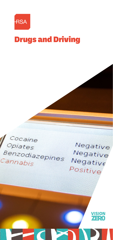

# Drugs and Driving

# Cocaine Opiates Benzodiazepines Cannabis

Negative Negative Negative Positive

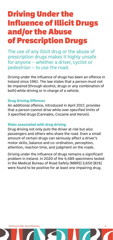# Driving Under the Influence of Illicit Drugs and/or the Abuse of Prescription Drugs

The use of any illicit drug or the abuse of prescription drugs makes it highly unsafe for anyone – whether a driver, cyclist or pedestrian – to use the road.

Driving under the influence of drugs has been an offence in Ireland since 1961. The law states that a person must not be impaired (through alcohol, drugs or any combination of both) while driving or in charge of a vehicle.

# **Drug Driving Offences**

An additional offence, introduced in April 2017, provides that a person cannot drive while over specified limits of 3 specified drugs (Cannabis, Cocaine and Heroin).

# **Risks associated with drug driving**

Drug driving not only puts the driver at risk but also passengers and others who share the road. Even a small amount of certain drugs can seriously affect a driver's motor skills, balance and co-ordination, perception, attention, reaction time, and judgment on the roads.

Driving under the influence of drugs remains a significant problem in Ireland. In 2020 of the 4,489 specimens tested in the Medical Bureau of Road Safety (MBRS) 3,650 (81%) were found to be positive for at least one impairing drug.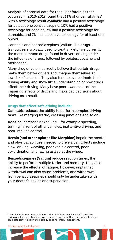Analysis of coronial data for road user fatalities that occurred in 2013-2017 found that 11% of driver fatalities\* with a toxicology result available had a positive toxicology for at least one benzodiazepine. 10% had a positive toxicology for cocaine, 7% had a positive toxicology for cannabis, and 7% had a positive toxicology for at least one opioid.

Cannabis and benzodiazepines (Valium-like drugs – tranquilisers typically used to treat anxiety) are currently the most common drugs found in drivers driving under the influence of drugs, followed by opiates, cocaine and methadone.

Many drug drivers incorrectly believe that certain drugs make them better drivers and imagine themselves at low risk of collision. They also tend to overestimate their driving ability and show little understanding of how drugs affect their driving. Many have poor awareness of the impairing effects of drugs and make bad decisions about driving as a result.

### **Drugs that affect safe driving include;**

**Cannabis** reduces the ability to perform complex driving tasks like merging traffic, crossing junctions and so on.

**Cocaine** increases risk taking – for example speeding, turning in front of other vehicles, inattentive driving, and poor impulse control.

**Heroin (and other opiates like Morphine)** impair the mental and physical abilities needed to drive a car. Effects include slow driving, weaving, poor vehicle control, poor co-ordination and falling asleep at the wheel.

**Benzodiazepines (Valium)** reduce reaction times, the ability to perform multiple tasks and memory. They also increase the effects of fatigue. However, unplanned withdrawal can also cause problems, and withdrawal from benzodiazepines should only be undertaken with your doctor's advice and supervision.

\*Driver includes motorcycle drivers. Driver fatalities may have had a positive toxicology for more than one drug category, and more than one drug within one drug category. A positive toxicology does not imply impairment.

**Driving Under the Influence 3 3**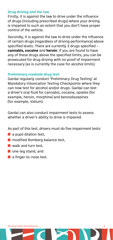#### **Drug driving and the law**

Firstly, it is against the law to drive under the influence of drugs (including prescribed drugs) where your driving is impaired to such an extent that you don't have proper control of the vehicle.

Secondly, it is against the law to drive under the influence of certain drugs (regardless of driving performance) above specified levels. There are currently 3 drugs specified – **cannabis, cocaine** and **heroin**. If you are found to have any of these drugs above the specified limits, you can be prosecuted for drug driving with no proof of impairment necessary (as is currently the case for alcohol limits).

#### **Preliminary roadside drug test**

Gardaí regularly conduct 'Preliminary Drug Testing' at Mandatory Intoxication Testing Checkpoints where they can now test for alcohol and/or drugs. Gardaí can test a driver's oral fluid for cannabis, cocaine, opiates (for example, heroin, morphine) and benzodiazepines (for example, Valium).

Gardaí can also conduct impairment tests to assess whether a driver's ability to drive is impaired.

As part of this test, drivers must do five impairment tests:

- $\blacksquare$  a pupil dilation test.
- **n** modified Romberg balance test,
- walk and turn test.
- one-leg stand, and
- a finger-to-nose test.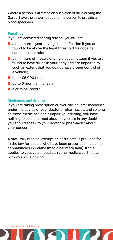Where a person is arrested on suspicion of drug driving the Gardaí have the power to require the person to provide a blood specimen.

#### **Penalties**

If you are convicted of drug driving, you will get:

- a minimum 1-year driving disqualification if you are found to be above the legal threshold for cocaine, cannabis or heroin;
- $\blacksquare$  a minimum of 4 years driving disqualification if you are found to have drugs in your body and are impaired to such an extent that you do not have proper control of a vehicle;
- $\blacksquare$  up to  $\epsilon$ 5.000 fine:
- up to 6 months in prison;
- **a** criminal record

### **Medicines and driving**

If you are taking prescription or over-the-counter medicines under the advice of your doctor or pharmacist, and so long as those medicines don't impair your driving, you have nothing to be concerned about. If you are in any doubt, you should speak to your doctor or pharmacist about your concerns.

A statutory medical exemption certificate is provided for in the law for people who have been prescribed medicinal cannabinoids in Ireland (medicinal marijuana). If this applies to you, you should carry the medical certificate with you while driving.